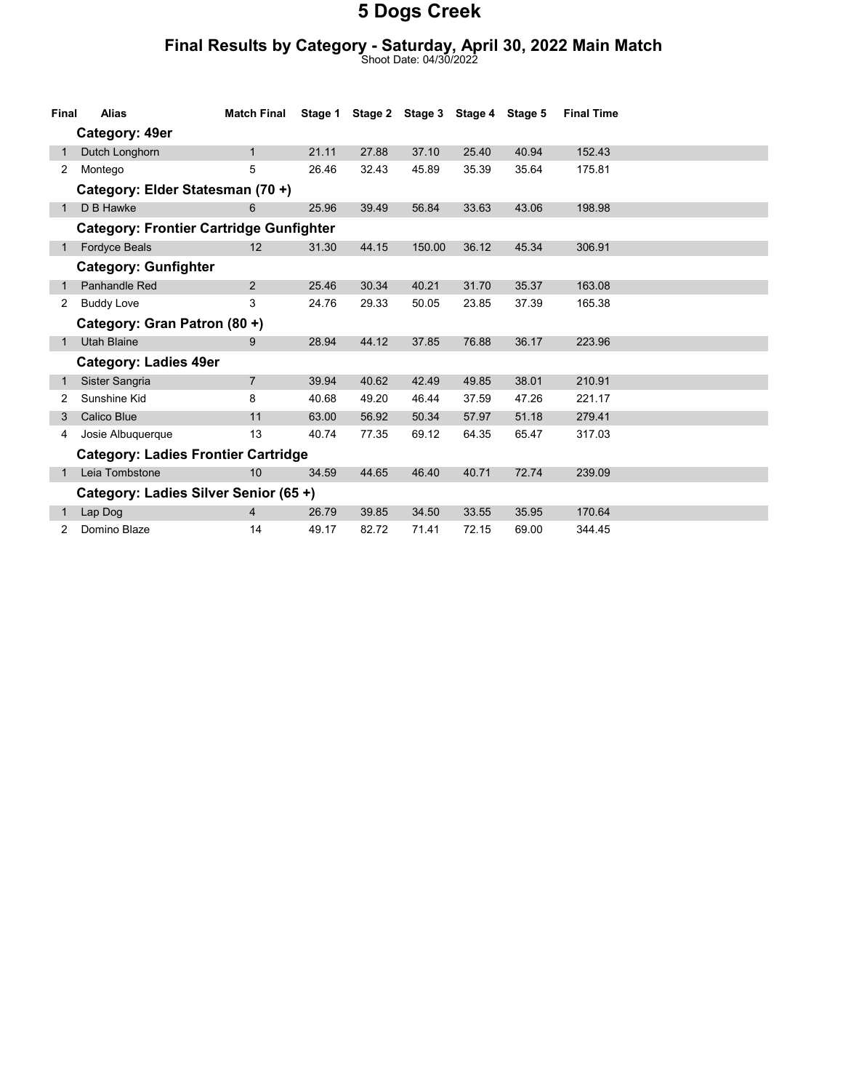#### Final Results by Category - Saturday, April 30, 2022 Main Match

Shoot Date: 04/30/2022

| Final                                          | <b>Alias</b>                               | <b>Match Final</b> | Stage 1 |       | Stage 2 Stage 3 Stage 4 Stage 5 |       |       | <b>Final Time</b> |  |
|------------------------------------------------|--------------------------------------------|--------------------|---------|-------|---------------------------------|-------|-------|-------------------|--|
| Category: 49er                                 |                                            |                    |         |       |                                 |       |       |                   |  |
|                                                | Dutch Longhorn                             | $\mathbf{1}$       | 21.11   | 27.88 | 37.10                           | 25.40 | 40.94 | 152.43            |  |
| $\overline{2}$                                 | Montego                                    | 5                  | 26.46   | 32.43 | 45.89                           | 35.39 | 35.64 | 175.81            |  |
|                                                | Category: Elder Statesman (70+)            |                    |         |       |                                 |       |       |                   |  |
|                                                | D B Hawke                                  | 6                  | 25.96   | 39.49 | 56.84                           | 33.63 | 43.06 | 198.98            |  |
| <b>Category: Frontier Cartridge Gunfighter</b> |                                            |                    |         |       |                                 |       |       |                   |  |
|                                                | <b>Fordyce Beals</b>                       | 12                 | 31.30   | 44.15 | 150.00                          | 36.12 | 45.34 | 306.91            |  |
|                                                | <b>Category: Gunfighter</b>                |                    |         |       |                                 |       |       |                   |  |
|                                                | Panhandle Red                              | 2                  | 25.46   | 30.34 | 40.21                           | 31.70 | 35.37 | 163.08            |  |
| 2                                              | <b>Buddy Love</b>                          | 3                  | 24.76   | 29.33 | 50.05                           | 23.85 | 37.39 | 165.38            |  |
|                                                | Category: Gran Patron (80 +)               |                    |         |       |                                 |       |       |                   |  |
|                                                | <b>Utah Blaine</b>                         | 9                  | 28.94   | 44.12 | 37.85                           | 76.88 | 36.17 | 223.96            |  |
|                                                | <b>Category: Ladies 49er</b>               |                    |         |       |                                 |       |       |                   |  |
|                                                | Sister Sangria                             | $\overline{7}$     | 39.94   | 40.62 | 42.49                           | 49.85 | 38.01 | 210.91            |  |
| 2                                              | Sunshine Kid                               | 8                  | 40.68   | 49.20 | 46.44                           | 37.59 | 47.26 | 221.17            |  |
|                                                | <b>Calico Blue</b>                         | 11                 | 63.00   | 56.92 | 50.34                           | 57.97 | 51.18 | 279.41            |  |
| 4                                              | Josie Albuquerque                          | 13                 | 40.74   | 77.35 | 69.12                           | 64.35 | 65.47 | 317.03            |  |
|                                                | <b>Category: Ladies Frontier Cartridge</b> |                    |         |       |                                 |       |       |                   |  |
|                                                | Leia Tombstone                             | 10                 | 34.59   | 44.65 | 46.40                           | 40.71 | 72.74 | 239.09            |  |
| Category: Ladies Silver Senior (65+)           |                                            |                    |         |       |                                 |       |       |                   |  |
|                                                | Lap Dog                                    | 4                  | 26.79   | 39.85 | 34.50                           | 33.55 | 35.95 | 170.64            |  |
| 2                                              | Domino Blaze                               | 14                 | 49.17   | 82.72 | 71.41                           | 72.15 | 69.00 | 344.45            |  |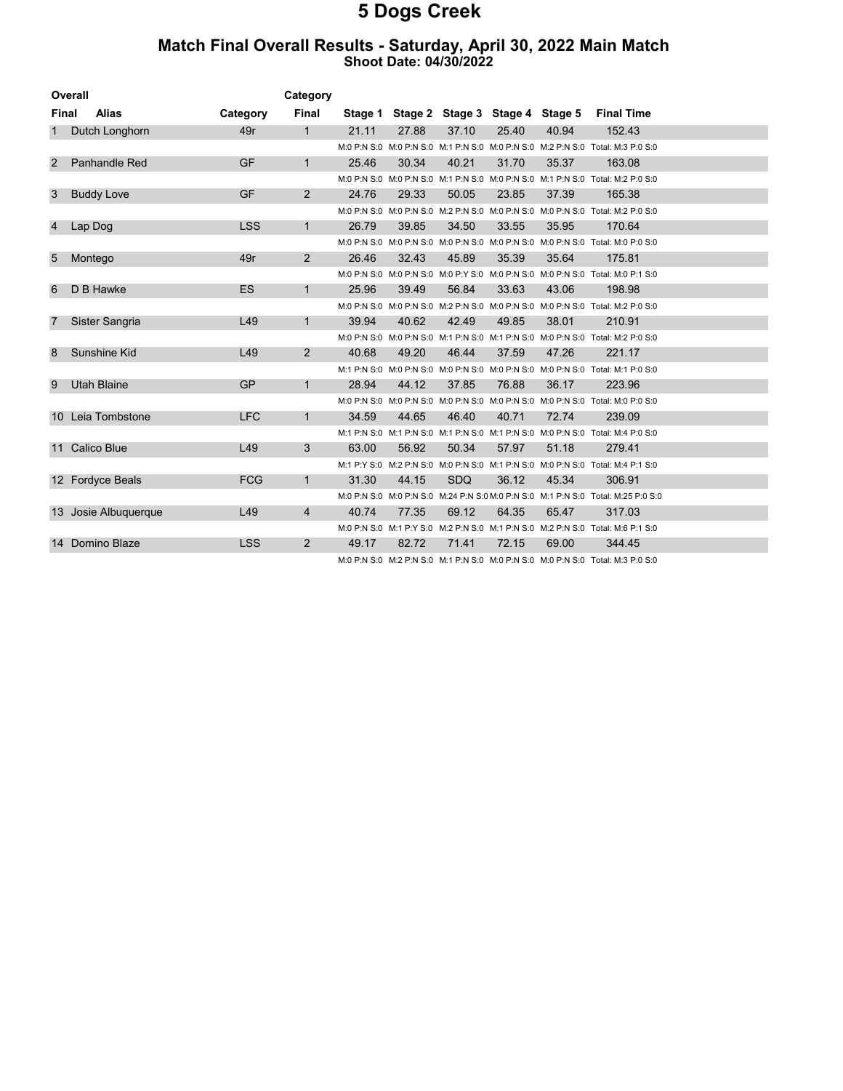#### Match Final Overall Results - Saturday, April 30, 2022 Main Match Shoot Date: 04/30/2022

| Overall        |                      | Category   |                |       |       |       |       |                                         |                                                                                  |  |
|----------------|----------------------|------------|----------------|-------|-------|-------|-------|-----------------------------------------|----------------------------------------------------------------------------------|--|
| <b>Final</b>   | <b>Alias</b>         | Category   | Final          |       |       |       |       | Stage 1 Stage 2 Stage 3 Stage 4 Stage 5 | <b>Final Time</b>                                                                |  |
| 1              | Dutch Longhorn       | 49r        | $\mathbf{1}$   | 21.11 | 27.88 | 37.10 | 25.40 | 40.94                                   | 152.43                                                                           |  |
|                |                      |            |                |       |       |       |       |                                         | M:0 P:N S:0 M:0 P:N S:0 M:1 P:N S:0 M:0 P:N S:0 M:2 P:N S:0 Total: M:3 P:0 S:0   |  |
| 2              | Panhandle Red        | <b>GF</b>  | $\mathbf{1}$   | 25.46 | 30.34 | 40.21 | 31.70 | 35.37                                   | 163.08                                                                           |  |
|                |                      |            |                |       |       |       |       |                                         | M:0 P:N S:0 M:0 P:N S:0 M:1 P:N S:0 M:0 P:N S:0 M:1 P:N S:0 Total: M:2 P:0 S:0   |  |
| 3              | <b>Buddy Love</b>    | <b>GF</b>  | $\overline{2}$ | 24.76 | 29.33 | 50.05 | 23.85 | 37.39                                   | 165.38                                                                           |  |
|                |                      |            |                |       |       |       |       |                                         | M:0 P:N S:0 M:0 P:N S:0 M:2 P:N S:0 M:0 P:N S:0 M:0 P:N S:0 Total: M:2 P:0 S:0   |  |
| $\overline{4}$ | Lap Dog              | <b>LSS</b> | $\mathbf{1}$   | 26.79 | 39.85 | 34.50 | 33.55 | 35.95                                   | 170.64                                                                           |  |
|                |                      |            |                |       |       |       |       |                                         | M:0 P:N S:0 M:0 P:N S:0 M:0 P:N S:0 M:0 P:N S:0 M:0 P:N S:0 Total: M:0 P:0 S:0   |  |
| 5              | Montego              | 49r        | $\overline{2}$ | 26.46 | 32.43 | 45.89 | 35.39 | 35.64                                   | 175.81                                                                           |  |
|                |                      |            |                |       |       |       |       |                                         | M:0 P:N S:0 M:0 P:N S:0 M:0 P:Y S:0 M:0 P:N S:0 M:0 P:N S:0 Total: M:0 P:1 S:0   |  |
| 6              | D B Hawke            | <b>ES</b>  | $\mathbf{1}$   | 25.96 | 39.49 | 56.84 | 33.63 | 43.06                                   | 198.98                                                                           |  |
|                |                      |            |                |       |       |       |       |                                         | M:0 P:N S:0 M:0 P:N S:0 M:2 P:N S:0 M:0 P:N S:0 M:0 P:N S:0 Total: M:2 P:0 S:0   |  |
| 7              | Sister Sangria       | L49        | $\mathbf{1}$   | 39.94 | 40.62 | 42.49 | 49.85 | 38.01                                   | 210.91                                                                           |  |
|                |                      |            |                |       |       |       |       |                                         | M:0 P:N S:0 M:0 P:N S:0 M:1 P:N S:0 M:1 P:N S:0 M:0 P:N S:0 Total: M:2 P:0 S:0   |  |
| 8              | Sunshine Kid         | L49        | $\overline{2}$ | 40.68 | 49.20 | 46.44 | 37.59 | 47.26                                   | 221.17                                                                           |  |
|                |                      |            |                |       |       |       |       |                                         | M:1 P:N S:0 M:0 P:N S:0 M:0 P:N S:0 M:0 P:N S:0 M:0 P:N S:0 Total: M:1 P:0 S:0   |  |
| 9              | <b>Utah Blaine</b>   | <b>GP</b>  | $\mathbf{1}$   | 28.94 | 44.12 | 37.85 | 76.88 | 36.17                                   | 223.96                                                                           |  |
|                |                      |            |                |       |       |       |       |                                         | M:0 P:N S:0 M:0 P:N S:0 M:0 P:N S:0 M:0 P:N S:0 M:0 P:N S:0 Total: M:0 P:0 S:0   |  |
|                | 10 Leia Tombstone    | <b>LFC</b> | $\mathbf{1}$   | 34.59 | 44.65 | 46.40 | 40.71 | 72.74                                   | 239.09                                                                           |  |
|                |                      |            |                |       |       |       |       |                                         | M:1 P:N S:0 M:1 P:N S:0 M:1 P:N S:0 M:1 P:N S:0 M:0 P:N S:0 Total: M:4 P:0 S:0   |  |
|                | 11 Calico Blue       | L49        | 3              | 63.00 | 56.92 | 50.34 | 57.97 | 51.18                                   | 279.41                                                                           |  |
|                |                      |            |                |       |       |       |       |                                         | M:1 P:Y S:0 M:2 P:N S:0 M:0 P:N S:0 M:1 P:N S:0 M:0 P:N S:0 Total: M:4 P:1 S:0   |  |
|                | 12 Fordyce Beals     | <b>FCG</b> | $\mathbf{1}$   | 31.30 | 44.15 | SDQ   | 36.12 | 45.34                                   | 306.91                                                                           |  |
|                |                      |            |                |       |       |       |       |                                         | M:0 P:N S:0 M:0 P:N S:0 M:24 P:N S:0 M:0 P:N S:0 M:1 P:N S:0 Total: M:25 P:0 S:0 |  |
|                | 13 Josie Albuquerque | L49        | $\overline{4}$ | 40.74 | 77.35 | 69.12 | 64.35 | 65.47                                   | 317.03                                                                           |  |
|                |                      |            |                |       |       |       |       |                                         | M:0 P:N S:0 M:1 P:Y S:0 M:2 P:N S:0 M:1 P:N S:0 M:2 P:N S:0 Total: M:6 P:1 S:0   |  |
|                | 14 Domino Blaze      | <b>LSS</b> | $\overline{2}$ | 49.17 | 82.72 | 71.41 | 72.15 | 69.00                                   | 344.45                                                                           |  |
|                |                      |            |                |       |       |       |       |                                         | M:0 P:N S:0 M:2 P:N S:0 M:1 P:N S:0 M:0 P:N S:0 M:0 P:N S:0 Total: M:3 P:0 S:0   |  |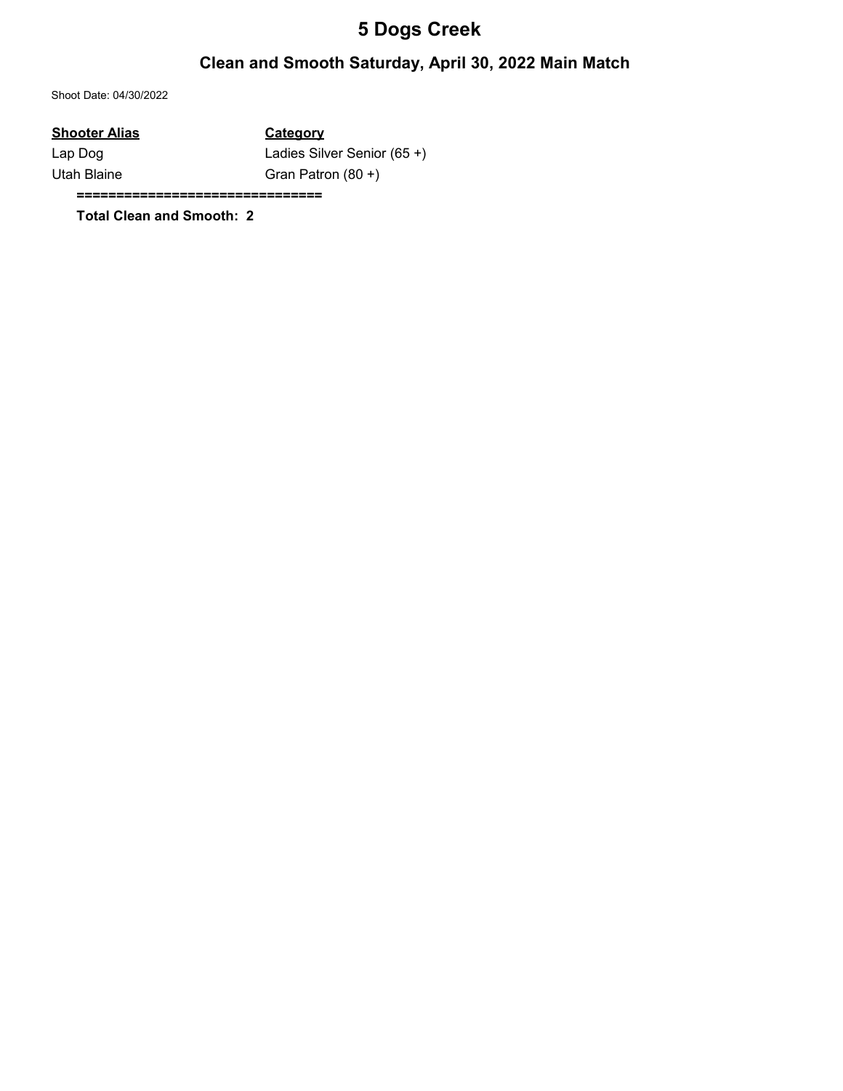### Clean and Smooth Saturday, April 30, 2022 Main Match

Shoot Date: 04/30/2022

#### Shooter Alias Category

Lap Dog Ladies Silver Senior (65+) Utah Blaine Gran Patron (80 +)

===============================

Total Clean and Smooth: 2